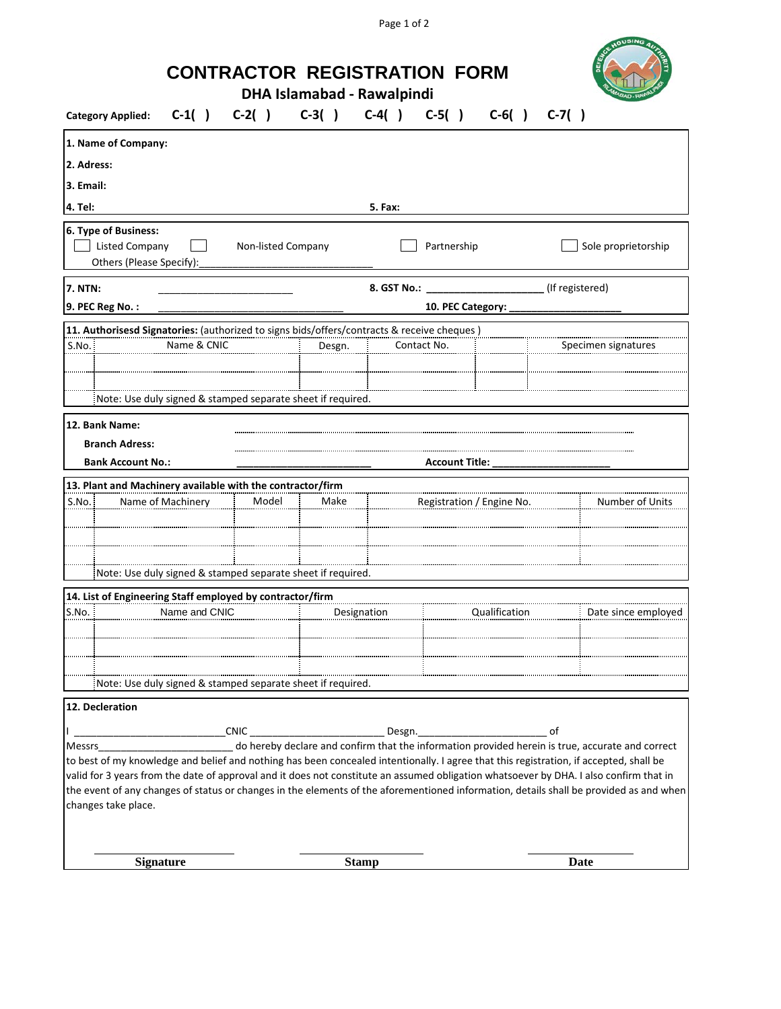Page 1 of 2

|                                                                                                                                                                                            |                   | <b>CONTRACTOR REGISTRATION FORM</b>                                  | <b>DHA Islamabad - Rawalpindi</b> |              |                                       |               |                 | OUSING                                                                                                                                                                                                                                                                                                                                                                               |
|--------------------------------------------------------------------------------------------------------------------------------------------------------------------------------------------|-------------------|----------------------------------------------------------------------|-----------------------------------|--------------|---------------------------------------|---------------|-----------------|--------------------------------------------------------------------------------------------------------------------------------------------------------------------------------------------------------------------------------------------------------------------------------------------------------------------------------------------------------------------------------------|
| <b>Category Applied:</b>                                                                                                                                                                   |                   | $C-1( )$ $C-2( )$                                                    |                                   |              | $C-3()$ $C-4()$ $C-5()$ $C-6()$       |               | $C-7( )$        |                                                                                                                                                                                                                                                                                                                                                                                      |
| 1. Name of Company:                                                                                                                                                                        |                   |                                                                      |                                   |              |                                       |               |                 |                                                                                                                                                                                                                                                                                                                                                                                      |
| 2. Adress:                                                                                                                                                                                 |                   |                                                                      |                                   |              |                                       |               |                 |                                                                                                                                                                                                                                                                                                                                                                                      |
| 3. Email:                                                                                                                                                                                  |                   |                                                                      |                                   |              |                                       |               |                 |                                                                                                                                                                                                                                                                                                                                                                                      |
| 4. Tel:                                                                                                                                                                                    |                   |                                                                      |                                   | 5. Fax:      |                                       |               |                 |                                                                                                                                                                                                                                                                                                                                                                                      |
| 6. Type of Business:<br><b>Listed Company</b><br>Others (Please Specify):                                                                                                                  |                   | Non-listed Company                                                   |                                   |              | Partnership                           |               |                 | Sole proprietorship                                                                                                                                                                                                                                                                                                                                                                  |
| <b>7. NTN:</b>                                                                                                                                                                             |                   |                                                                      |                                   |              | 8. GST No.: _________________________ |               | (If registered) |                                                                                                                                                                                                                                                                                                                                                                                      |
| 9. PEC Reg No.:                                                                                                                                                                            |                   |                                                                      |                                   |              | 10. PEC Category:                     |               |                 |                                                                                                                                                                                                                                                                                                                                                                                      |
| 11. Authorisesd Signatories: (authorized to signs bids/offers/contracts & receive cheques)<br>S.No.                                                                                        | Name & CNIC       | Note: Use duly signed & stamped separate sheet if required.          | Desgn.                            |              | Contact No.                           |               |                 | Specimen signatures                                                                                                                                                                                                                                                                                                                                                                  |
|                                                                                                                                                                                            |                   |                                                                      |                                   |              |                                       |               |                 |                                                                                                                                                                                                                                                                                                                                                                                      |
| 12. Bank Name:<br><b>Branch Adress:</b><br><b>Bank Account No.:</b>                                                                                                                        |                   |                                                                      |                                   |              | <b>Account Title:</b>                 |               |                 |                                                                                                                                                                                                                                                                                                                                                                                      |
| 13. Plant and Machinery available with the contractor/firm                                                                                                                                 |                   |                                                                      |                                   |              |                                       |               |                 |                                                                                                                                                                                                                                                                                                                                                                                      |
| S.No.                                                                                                                                                                                      | Name of Machinery | Model<br>Note: Use duly signed & stamped separate sheet if required. | Make                              |              | Registration / Engine No.             |               |                 | Number of Units                                                                                                                                                                                                                                                                                                                                                                      |
|                                                                                                                                                                                            |                   |                                                                      |                                   |              |                                       |               |                 |                                                                                                                                                                                                                                                                                                                                                                                      |
| 14. List of Engineering Staff employed by contractor/firm<br>S.No.                                                                                                                         | Name and CNIC     |                                                                      |                                   | Designation  |                                       | Qualification |                 | Date since employed                                                                                                                                                                                                                                                                                                                                                                  |
|                                                                                                                                                                                            |                   | Note: Use duly signed & stamped separate sheet if required.          |                                   |              |                                       |               |                 |                                                                                                                                                                                                                                                                                                                                                                                      |
| 12. Decleration<br>Messrs<br>to best of my knowledge and belief and nothing has been concealed intentionally. I agree that this registration, if accepted, shall be<br>changes take place. |                   |                                                                      |                                   |              |                                       |               | оf              | do hereby declare and confirm that the information provided herein is true, accurate and correct<br>valid for 3 years from the date of approval and it does not constitute an assumed obligation whatsoever by DHA. I also confirm that in<br>the event of any changes of status or changes in the elements of the aforementioned information, details shall be provided as and when |
| <b>Signature</b>                                                                                                                                                                           |                   |                                                                      |                                   | <b>Stamp</b> |                                       |               |                 | Date                                                                                                                                                                                                                                                                                                                                                                                 |